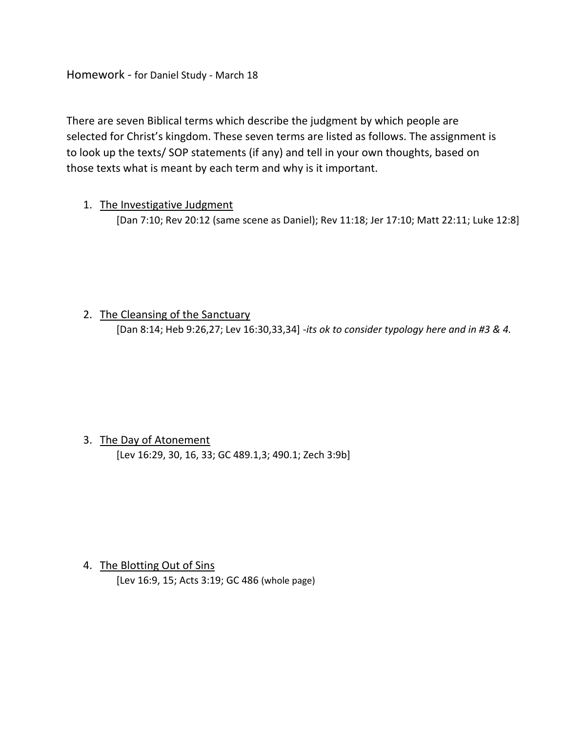Homework - for Daniel Study - March 18

There are seven Biblical terms which describe the judgment by which people are selected for Christ's kingdom. These seven terms are listed as follows. The assignment is to look up the texts/ SOP statements (if any) and tell in your own thoughts, based on those texts what is meant by each term and why is it important.

#### 1. The Investigative Judgment

[Dan 7:10; Rev 20:12 (same scene as Daniel); Rev 11:18; Jer 17:10; Matt 22:11; Luke 12:8]

### 2. The Cleansing of the Sanctuary

[Dan 8:14; Heb 9:26,27; Lev 16:30,33,34] -*its ok to consider typology here and in #3 & 4.*

# 3. The Day of Atonement

[Lev 16:29, 30, 16, 33; GC 489.1,3; 490.1; Zech 3:9b]

4. The Blotting Out of Sins [Lev 16:9, 15; Acts 3:19; GC 486 (whole page)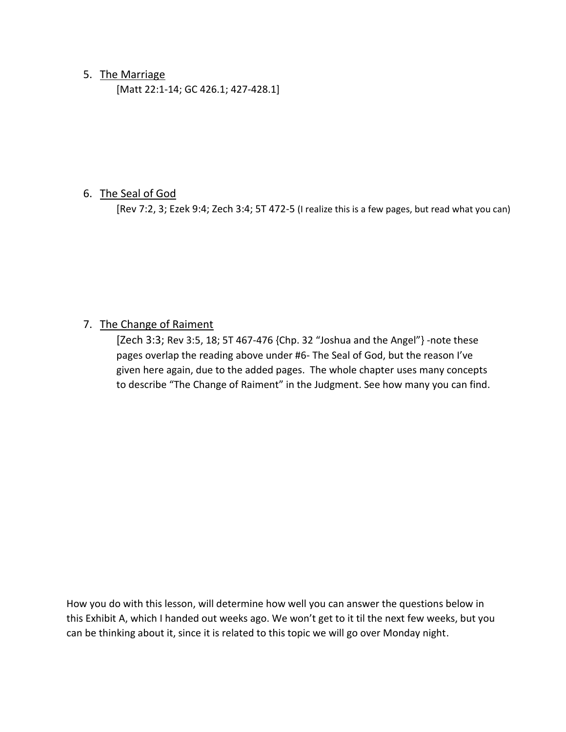#### 5. The Marriage

[Matt 22:1-14; GC 426.1; 427-428.1]

#### 6. The Seal of God

[Rev 7:2, 3; Ezek 9:4; Zech 3:4; 5T 472-5 (I realize this is a few pages, but read what you can)

## 7. The Change of Raiment

[Zech 3:3; Rev 3:5, 18; 5T 467-476 {Chp. 32 "Joshua and the Angel"} -note these pages overlap the reading above under #6- The Seal of God, but the reason I've given here again, due to the added pages. The whole chapter uses many concepts to describe "The Change of Raiment" in the Judgment. See how many you can find.

How you do with this lesson, will determine how well you can answer the questions below in this Exhibit A, which I handed out weeks ago. We won't get to it til the next few weeks, but you can be thinking about it, since it is related to this topic we will go over Monday night.